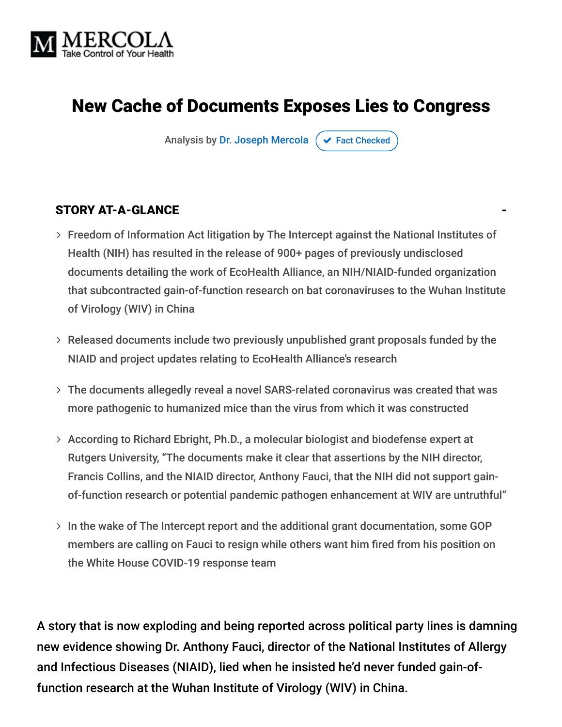

## New Cache of Documents Exposes Lies to Congress

Analysis by [Dr. Joseph Mercola](https://www.mercola.com/forms/background.htm)  $\sigma$  [Fact Checked](javascript:void(0))

#### STORY AT-A-GLANCE

- Freedom of Information Act litigation by The Intercept against the National Institutes of Health (NIH) has resulted in the release of 900+ pages of previously undisclosed documents detailing the work of EcoHealth Alliance, an NIH/NIAID-funded organization that subcontracted gain-of-function research on bat coronaviruses to the Wuhan Institute of Virology (WIV) in China
- Released documents include two previously unpublished grant proposals funded by the NIAID and project updates relating to EcoHealth Alliance's research
- The documents allegedly reveal a novel SARS-related coronavirus was created that was more pathogenic to humanized mice than the virus from which it was constructed
- According to Richard Ebright, Ph.D., a molecular biologist and biodefense expert at Rutgers University, "The documents make it clear that assertions by the NIH director, Francis Collins, and the NIAID director, Anthony Fauci, that the NIH did not support gainof-function research or potential pandemic pathogen enhancement at WIV are untruthful"
- $>$  In the wake of The Intercept report and the additional grant documentation, some GOP members are calling on Fauci to resign while others want him fired from his position on the White House COVID-19 response team

A story that is now exploding and being reported across political party lines is damning new evidence showing Dr. Anthony Fauci, director of the National Institutes of Allergy and Infectious Diseases (NIAID), lied when he insisted he'd never funded gain-offunction research at the Wuhan Institute of Virology (WIV) in China.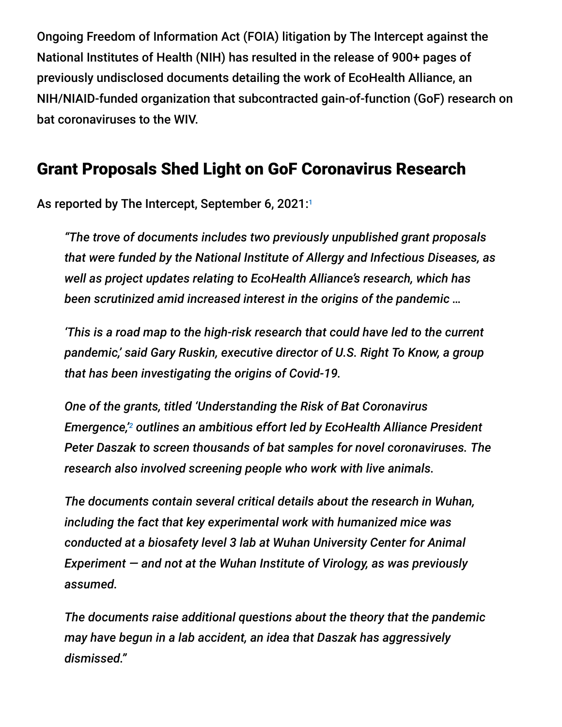Ongoing Freedom of Information Act (FOIA) litigation by The Intercept against the National Institutes of Health (NIH) has resulted in the release of 900+ pages of previously undisclosed documents detailing the work of EcoHealth Alliance, an NIH/NIAID-funded organization that subcontracted gain-of-function (GoF) research on bat coronaviruses to the WIV.

#### Grant Proposals Shed Light on GoF Coronavirus Research

As reported by The Intercept, September 6, 2021:1

*"The trove of documents includes two previously unpublished grant proposals that were funded by the National Institute of Allergy and Infectious Diseases, as well as project updates relating to EcoHealth Alliance's research, which has been scrutinized amid increased interest in the origins of the pandemic …*

*'This is a road map to the high-risk research that could have led to the current pandemic,' said Gary Ruskin, executive director of U.S. Right To Know, a group that has been investigating the origins of Covid-19.*

*One of the grants, titled 'Understanding the Risk of Bat Coronavirus* Emergence,'<sup>2</sup> outlines an ambitious effort led by EcoHealth Alliance President *Peter Daszak to screen thousands of bat samples for novel coronaviruses. The research also involved screening people who work with live animals.*

*The documents contain several critical details about the research in Wuhan, including the fact that key experimental work with humanized mice was conducted at a biosafety level 3 lab at Wuhan University Center for Animal Experiment — and not at the Wuhan Institute of Virology, as was previously assumed.*

*The documents raise additional questions about the theory that the pandemic may have begun in a lab accident, an idea that Daszak has aggressively dismissed."*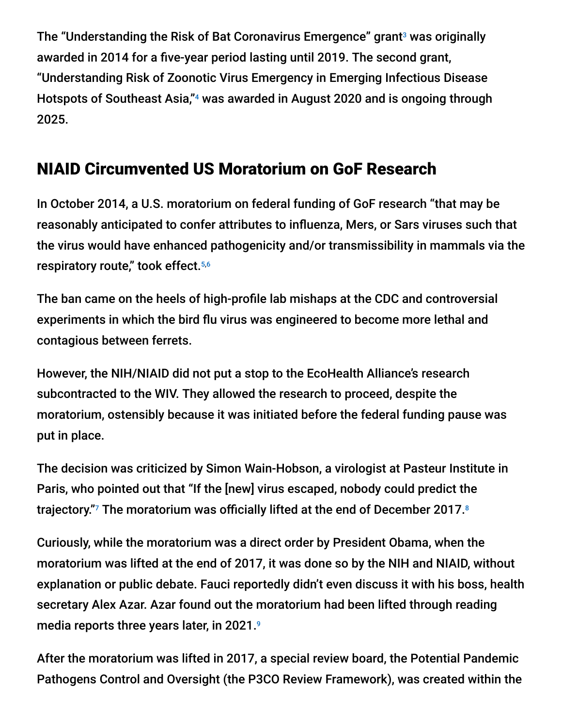The "Understanding the Risk of Bat Coronavirus Emergence" grant $^{\circ}$  was originally awarded in 2014 for a five-year period lasting until 2019. The second grant, "Understanding Risk of Zoonotic Virus Emergency in Emerging Infectious Disease Hotspots of Southeast Asia,"<sup>4</sup> was awarded in August 2020 and is ongoing through 2025.

### NIAID Circumvented US Moratorium on GoF Research

In October 2014, a U.S. moratorium on federal funding of GoF research "that may be reasonably anticipated to confer attributes to influenza, Mers, or Sars viruses such that the virus would have enhanced pathogenicity and/or transmissibility in mammals via the respiratory route," took effect. 5,6

The ban came on the heels of high-profile lab mishaps at the CDC and controversial experiments in which the bird flu virus was engineered to become more lethal and contagious between ferrets.

However, the NIH/NIAID did not put a stop to the EcoHealth Alliance's research subcontracted to the WIV. They allowed the research to proceed, despite the moratorium, ostensibly because it was initiated before the federal funding pause was put in place.

The decision was criticized by Simon Wain-Hobson, a virologist at Pasteur Institute in Paris, who pointed out that "If the [new] virus escaped, nobody could predict the trajectory."<sup>7</sup> The moratorium was officially lifted at the end of December 2017. $^{\circ}$ 

Curiously, while the moratorium was a direct order by President Obama, when the moratorium was lifted at the end of 2017, it was done so by the NIH and NIAID, without explanation or public debate. Fauci reportedly didn't even discuss it with his boss, health secretary Alex Azar. Azar found out the moratorium had been lifted through reading media reports three years later, in 2021. 9

After the moratorium was lifted in 2017, a special review board, the Potential Pandemic Pathogens Control and Oversight (the P3CO Review Framework), was created within the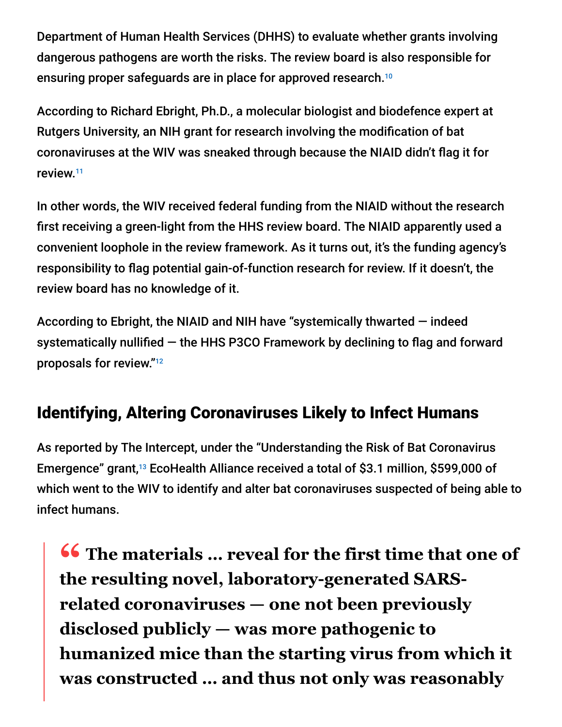Department of Human Health Services (DHHS) to evaluate whether grants involving dangerous pathogens are worth the risks. The review board is also responsible for ensuring proper safeguards are in place for approved research. 10

According to Richard Ebright, Ph.D., a molecular biologist and biodefence expert at Rutgers University, an NIH grant for research involving the modification of bat coronaviruses at the WIV was sneaked through because the NIAID didn't flag it for review. 11

In other words, the WIV received federal funding from the NIAID without the research first receiving a green-light from the HHS review board. The NIAID apparently used a convenient loophole in the review framework. As it turns out, it's the funding agency's responsibility to flag potential gain-of-function research for review. If it doesn't, the review board has no knowledge of it.

According to Ebright, the NIAID and NIH have "systemically thwarted — indeed systematically nullified — the HHS P3CO Framework by declining to flag and forward proposals for review." 12

### Identifying, Altering Coronaviruses Likely to Infect Humans

As reported by The Intercept, under the "Understanding the Risk of Bat Coronavirus Emergence" grant,<sup>13</sup> EcoHealth Alliance received a total of \$3.1 million, \$599,000 of which went to the WIV to identify and alter bat coronaviruses suspected of being able to infect humans.

**<sup>66</sup>** The materials ... reveal for the first time that one of the resulting novel laboratory-generated SARS**the resulting novel, laboratory-generated SARSrelated coronaviruses — one not been previously disclosed publicly — was more pathogenic to humanized mice than the starting virus from which it was constructed … and thus not only was reasonably**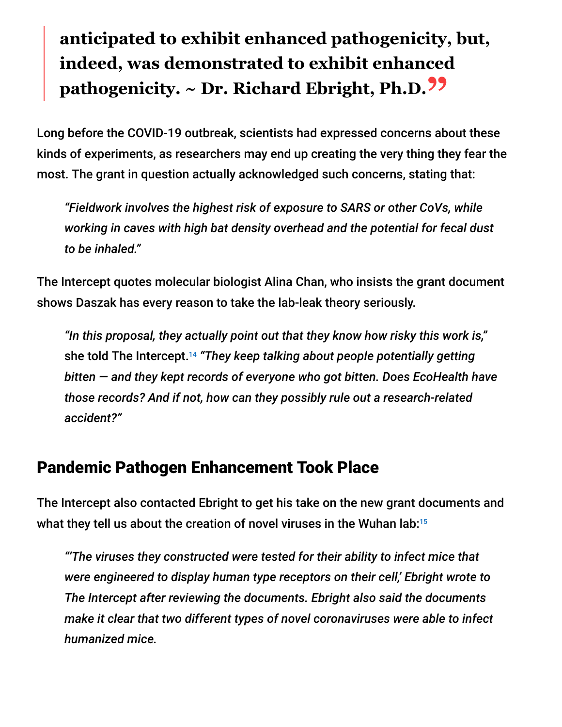# **anticipated to exhibit enhanced pathogenicity, but, indeed, was demonstrated to exhibit enhanced pathogenicity. ~ Dr. Richard Ebright, Ph.D."**

Long before the COVID-19 outbreak, scientists had expressed concerns about these kinds of experiments, as researchers may end up creating the very thing they fear the most. The grant in question actually acknowledged such concerns, stating that:

*"Fieldwork involves the highest risk of exposure to SARS or other CoVs, while working in caves with high bat density overhead and the potential for fecal dust to be inhaled."*

The Intercept quotes molecular biologist Alina Chan, who insists the grant document shows Daszak has every reason to take the lab-leak theory seriously.

*"In this proposal, they actually point out that they know how risky this work is,"* she told The Intercept. *"They keep talking about people potentially getting* 14 *bitten — and they kept records of everyone who got bitten. Does EcoHealth have those records? And if not, how can they possibly rule out a research-related accident?"*

#### Pandemic Pathogen Enhancement Took Place

The Intercept also contacted Ebright to get his take on the new grant documents and what they tell us about the creation of novel viruses in the Wuhan lab: 15

*"'The viruses they constructed were tested for their ability to infect mice that were engineered to display human type receptors on their cell,' Ebright wrote to The Intercept after reviewing the documents. Ebright also said the documents make it clear that two different types of novel coronaviruses were able to infect humanized mice.*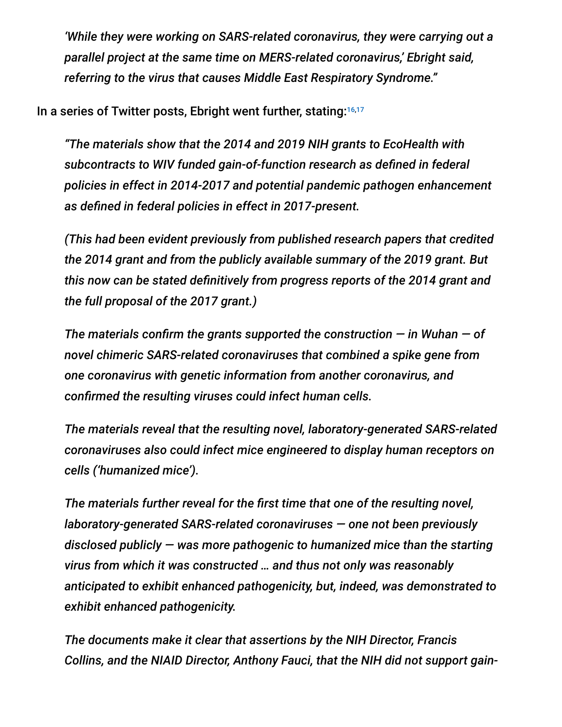*'While they were working on SARS-related coronavirus, they were carrying out a parallel project at the same time on MERS-related coronavirus,' Ebright said, referring to the virus that causes Middle East Respiratory Syndrome."*

In a series of Twitter posts, Ebright went further, stating:<sup>16,17</sup>

*"The materials show that the 2014 and 2019 NIH grants to EcoHealth with subcontracts to WIV funded gain-of-function research as defined in federal policies in effect in 2014-2017 and potential pandemic pathogen enhancement as defined in federal policies in effect in 2017-present.*

*(This had been evident previously from published research papers that credited the 2014 grant and from the publicly available summary of the 2019 grant. But this now can be stated definitively from progress reports of the 2014 grant and the full proposal of the 2017 grant.)*

*The materials confirm the grants supported the construction — in Wuhan — of novel chimeric SARS-related coronaviruses that combined a spike gene from one coronavirus with genetic information from another coronavirus, and confirmed the resulting viruses could infect human cells.*

*The materials reveal that the resulting novel, laboratory-generated SARS-related coronaviruses also could infect mice engineered to display human receptors on cells ('humanized mice').*

*The materials further reveal for the first time that one of the resulting novel, laboratory-generated SARS-related coronaviruses — one not been previously disclosed publicly — was more pathogenic to humanized mice than the starting virus from which it was constructed … and thus not only was reasonably anticipated to exhibit enhanced pathogenicity, but, indeed, was demonstrated to exhibit enhanced pathogenicity.*

*The documents make it clear that assertions by the NIH Director, Francis Collins, and the NIAID Director, Anthony Fauci, that the NIH did not support gain-*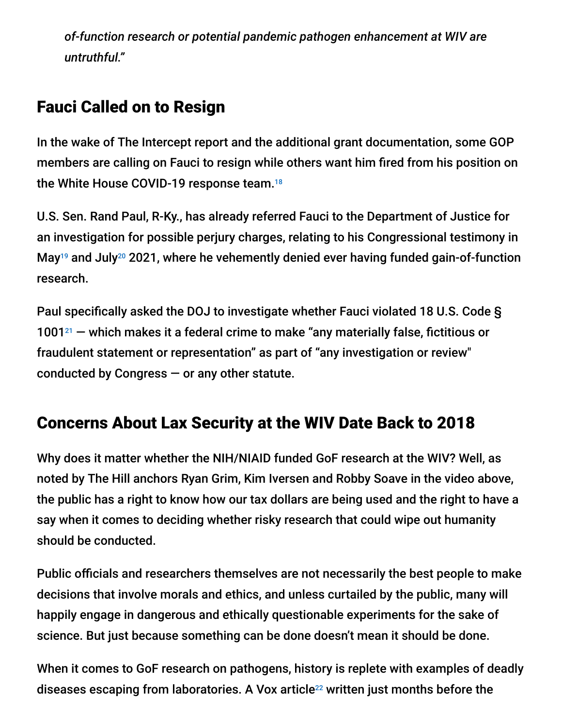*of-function research or potential pandemic pathogen enhancement at WIV are untruthful."*

#### Fauci Called on to Resign

In the wake of The Intercept report and the additional grant documentation, some GOP members are calling on Fauci to resign while others want him fired from his position on the White House COVID-19 response team. 18

U.S. Sen. Rand Paul, R-Ky., has already referred Fauci to the Department of Justice for an investigation for possible perjury charges, relating to his Congressional testimony in May<sup>19</sup> and July<sup>20</sup> 2021, where he vehemently denied ever having funded gain-of-function research.

Paul specifically asked the DOJ to investigate whether Fauci violated 18 U.S. Code §  $1001<sup>21</sup>$  – which makes it a federal crime to make "any materially false, fictitious or fraudulent statement or representation" as part of "any investigation or review" conducted by Congress  $-$  or any other statute.

#### Concerns About Lax Security at the WIV Date Back to 2018

Why does it matter whether the NIH/NIAID funded GoF research at the WIV? Well, as noted by The Hill anchors Ryan Grim, Kim Iversen and Robby Soave in the video above, the public has a right to know how our tax dollars are being used and the right to have a say when it comes to deciding whether risky research that could wipe out humanity should be conducted.

Public officials and researchers themselves are not necessarily the best people to make decisions that involve morals and ethics, and unless curtailed by the public, many will happily engage in dangerous and ethically questionable experiments for the sake of science. But just because something can be done doesn't mean it should be done.

When it comes to GoF research on pathogens, history is replete with examples of deadly diseases escaping from laboratories. A Vox article $^{22}$  written just months before the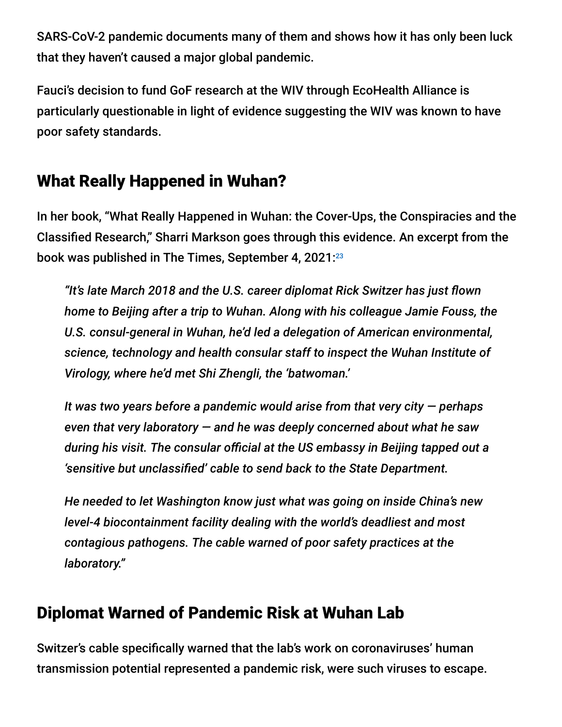SARS-CoV-2 pandemic documents many of them and shows how it has only been luck that they haven't caused a major global pandemic.

Fauci's decision to fund GoF research at the WIV through EcoHealth Alliance is particularly questionable in light of evidence suggesting the WIV was known to have poor safety standards.

#### What Really Happened in Wuhan?

In her book, "What Really Happened in Wuhan: the Cover-Ups, the Conspiracies and the Classified Research," Sharri Markson goes through this evidence. An excerpt from the book was published in The Times, September 4, 2021: 23

*"It's late March 2018 and the U.S. career diplomat Rick Switzer has just flown home to Beijing after a trip to Wuhan. Along with his colleague Jamie Fouss, the U.S. consul-general in Wuhan, he'd led a delegation of American environmental, science, technology and health consular staff to inspect the Wuhan Institute of Virology, where he'd met Shi Zhengli, the 'batwoman.'*

*It was two years before a pandemic would arise from that very city — perhaps even that very laboratory — and he was deeply concerned about what he saw during his visit. The consular official at the US embassy in Beijing tapped out a 'sensitive but unclassified' cable to send back to the State Department.*

*He needed to let Washington know just what was going on inside China's new level-4 biocontainment facility dealing with the world's deadliest and most contagious pathogens. The cable warned of poor safety practices at the laboratory."*

#### Diplomat Warned of Pandemic Risk at Wuhan Lab

Switzer's cable specifically warned that the lab's work on coronaviruses' human transmission potential represented a pandemic risk, were such viruses to escape.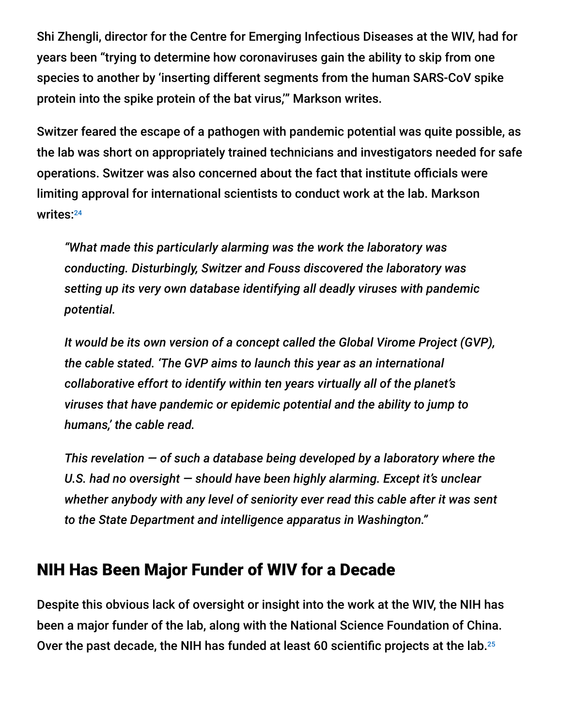Shi Zhengli, director for the Centre for Emerging Infectious Diseases at the WIV, had for years been "trying to determine how coronaviruses gain the ability to skip from one species to another by 'inserting different segments from the human SARS-CoV spike protein into the spike protein of the bat virus,'" Markson writes.

Switzer feared the escape of a pathogen with pandemic potential was quite possible, as the lab was short on appropriately trained technicians and investigators needed for safe operations. Switzer was also concerned about the fact that institute officials were limiting approval for international scientists to conduct work at the lab. Markson writes: 24

*"What made this particularly alarming was the work the laboratory was conducting. Disturbingly, Switzer and Fouss discovered the laboratory was setting up its very own database identifying all deadly viruses with pandemic potential.*

*It would be its own version of a concept called the Global Virome Project (GVP), the cable stated. 'The GVP aims to launch this year as an international collaborative effort to identify within ten years virtually all of the planet's viruses that have pandemic or epidemic potential and the ability to jump to humans,' the cable read.*

*This revelation — of such a database being developed by a laboratory where the U.S. had no oversight — should have been highly alarming. Except it's unclear whether anybody with any level of seniority ever read this cable after it was sent to the State Department and intelligence apparatus in Washington."*

#### NIH Has Been Major Funder of WIV for a Decade

Despite this obvious lack of oversight or insight into the work at the WIV, the NIH has been a major funder of the lab, along with the National Science Foundation of China. Over the past decade, the NIH has funded at least 60 scientific projects at the lab. 25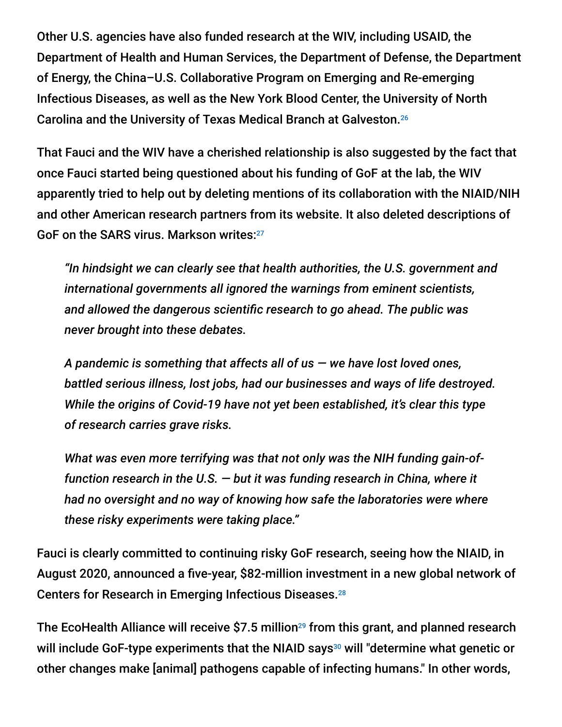Other U.S. agencies have also funded research at the WIV, including USAID, the Department of Health and Human Services, the Department of Defense, the Department of Energy, the China–U.S. Collaborative Program on Emerging and Re-emerging Infectious Diseases, as well as the New York Blood Center, the University of North Carolina and the University of Texas Medical Branch at Galveston. 26

That Fauci and the WIV have a cherished relationship is also suggested by the fact that once Fauci started being questioned about his funding of GoF at the lab, the WIV apparently tried to help out by deleting mentions of its collaboration with the NIAID/NIH and other American research partners from its website. It also deleted descriptions of GoF on the SARS virus. Markson writes:<sup>27</sup>

*"In hindsight we can clearly see that health authorities, the U.S. government and international governments all ignored the warnings from eminent scientists, and allowed the dangerous scientific research to go ahead. The public was never brought into these debates.*

*A pandemic is something that affects all of us — we have lost loved ones, battled serious illness, lost jobs, had our businesses and ways of life destroyed. While the origins of Covid-19 have not yet been established, it's clear this type of research carries grave risks.*

*What was even more terrifying was that not only was the NIH funding gain-offunction research in the U.S. — but it was funding research in China, where it had no oversight and no way of knowing how safe the laboratories were where these risky experiments were taking place."*

Fauci is clearly committed to continuing risky GoF research, seeing how the NIAID, in August 2020, announced a five-year, \$82-million investment in a new global network of Centers for Research in Emerging Infectious Diseases. 28

The EcoHealth Alliance will receive \$7.5 million<sup>29</sup> from this grant, and planned research will include GoF-type experiments that the NIAID says<sup>30</sup> will "determine what genetic or other changes make [animal] pathogens capable of infecting humans." In other words,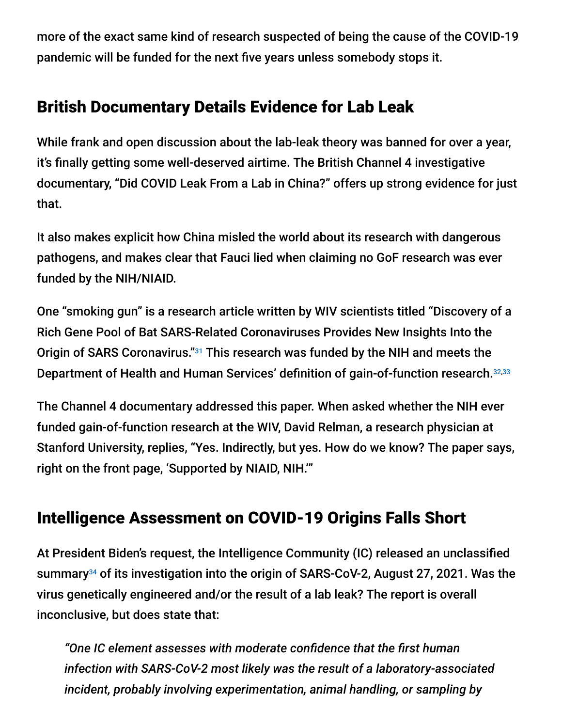more of the exact same kind of research suspected of being the cause of the COVID-19 pandemic will be funded for the next five years unless somebody stops it.

### British Documentary Details Evidence for Lab Leak

While frank and open discussion about the lab-leak theory was banned for over a year, it's finally getting some well-deserved airtime. The British Channel 4 investigative documentary, "Did COVID Leak From a Lab in China?" offers up strong evidence for just that.

It also makes explicit how China misled the world about its research with dangerous pathogens, and makes clear that Fauci lied when claiming no GoF research was ever funded by the NIH/NIAID.

One "smoking gun" is a research article written by WIV scientists titled "Discovery of a Rich Gene Pool of Bat SARS-Related Coronaviruses Provides New Insights Into the Origin of SARS Coronavirus."<sup>31</sup> This research was funded by the NIH and meets the Department of Health and Human Services' definition of gain-of-function research. 32,33

The Channel 4 documentary addressed this paper. When asked whether the NIH ever funded gain-of-function research at the WIV, David Relman, a research physician at Stanford University, replies, "Yes. Indirectly, but yes. How do we know? The paper says, right on the front page, 'Supported by NIAID, NIH.'"

### Intelligence Assessment on COVID-19 Origins Falls Short

At President Biden's request, the Intelligence Community (IC) released an unclassified summary<sup>34</sup> of its investigation into the origin of SARS-CoV-2, August 27, 2021. Was the virus genetically engineered and/or the result of a lab leak? The report is overall inconclusive, but does state that:

*"One IC element assesses with moderate confidence that the first human infection with SARS-CoV-2 most likely was the result of a laboratory-associated incident, probably involving experimentation, animal handling, or sampling by*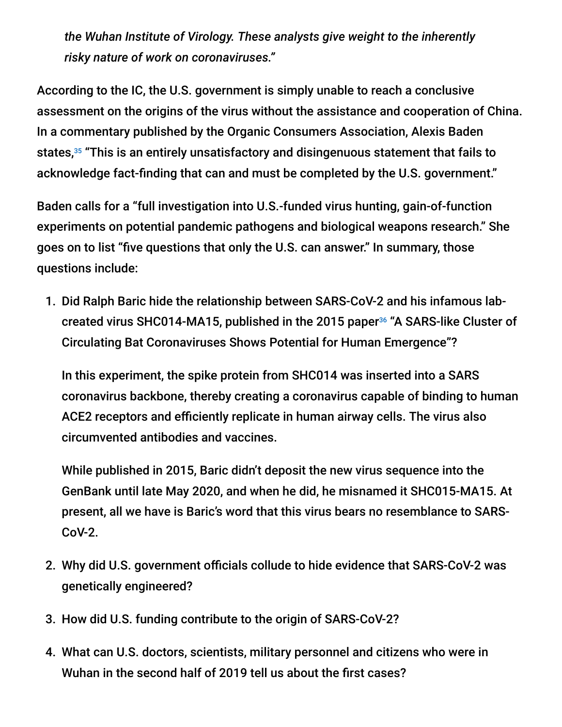*the Wuhan Institute of Virology. These analysts give weight to the inherently risky nature of work on coronaviruses."*

According to the IC, the U.S. government is simply unable to reach a conclusive assessment on the origins of the virus without the assistance and cooperation of China. In a commentary published by the Organic Consumers Association, Alexis Baden states,<sup>35</sup> "This is an entirely unsatisfactory and disingenuous statement that fails to acknowledge fact-finding that can and must be completed by the U.S. government."

Baden calls for a "full investigation into U.S.-funded virus hunting, gain-of-function experiments on potential pandemic pathogens and biological weapons research." She goes on to list "five questions that only the U.S. can answer." In summary, those questions include:

1. Did Ralph Baric hide the relationship between SARS-CoV-2 and his infamous labcreated virus SHC014-MA15, published in the 2015 paper<sup>36</sup> "A SARS-like Cluster of Circulating Bat Coronaviruses Shows Potential for Human Emergence"?

In this experiment, the spike protein from SHC014 was inserted into a SARS coronavirus backbone, thereby creating a coronavirus capable of binding to human ACE2 receptors and efficiently replicate in human airway cells. The virus also circumvented antibodies and vaccines.

While published in 2015, Baric didn't deposit the new virus sequence into the GenBank until late May 2020, and when he did, he misnamed it SHC015-MA15. At present, all we have is Baric's word that this virus bears no resemblance to SARS-CoV-2.

- 2. Why did U.S. government officials collude to hide evidence that SARS-CoV-2 was genetically engineered?
- 3. How did U.S. funding contribute to the origin of SARS-CoV-2?
- 4. What can U.S. doctors, scientists, military personnel and citizens who were in Wuhan in the second half of 2019 tell us about the first cases?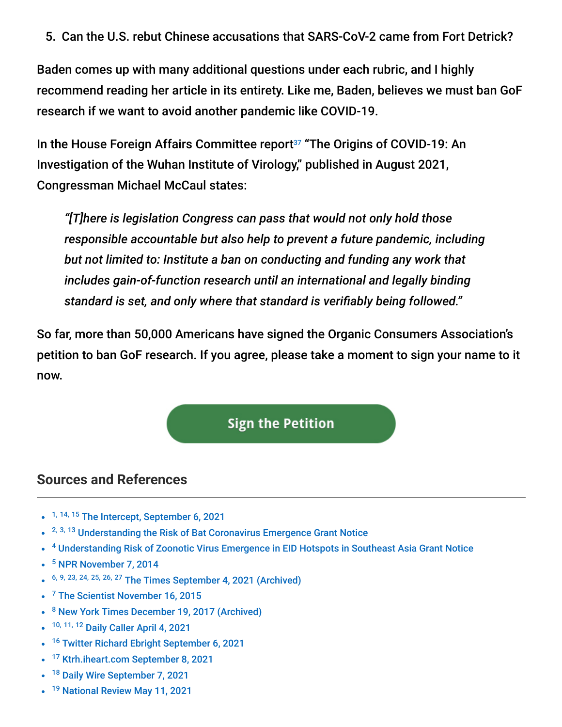5. Can the U.S. rebut Chinese accusations that SARS-CoV-2 came from Fort Detrick?

Baden comes up with many additional questions under each rubric, and I highly recommend reading her article in its entirety. Like me, Baden, believes we must ban GoF research if we want to avoid another pandemic like COVID-19.

In the House Foreign Affairs Committee report<sup>37</sup> "The Origins of COVID-19: An Investigation of the Wuhan Institute of Virology," published in August 2021, Congressman Michael McCaul states:

*"[T]here is legislation Congress can pass that would not only hold those responsible accountable but also help to prevent a future pandemic, including but not limited to: Institute a ban on conducting and funding any work that includes gain-of-function research until an international and legally binding standard is set, and only where that standard is verifiably being followed."*

So far, more than 50,000 Americans have signed the Organic Consumers Association's petition to ban GoF research. If you agree, please take a moment to sign your name to it now.

#### **Sign the Petition**

#### **Sources and References**

- <sup>1, 14, 15</sup> [The Intercept, September 6, 2021](https://theintercept.com/2021/09/06/new-details-emerge-about-coronavirus-research-at-chinese-lab/)
- <sup>2, 3, 13</sup> [Understanding the Risk of Bat Coronavirus Emergence Grant Notice](https://www.documentcloud.org/documents/21055989-understanding-risk-bat-coronavirus-emergence-grant-notice)
- <sup>4</sup> [Understanding Risk of Zoonotic Virus Emergence in EID Hotspots in Southeast Asia Grant Notice](https://www.documentcloud.org/documents/21055988-risk-zoonotic-virus-hotspots-grant-notice)
- <sup>5</sup> [NPR November 7, 2014](https://www.npr.org/sections/health-shots/2014/11/07/361219361/how-a-tilt-toward-safety-stopped-a-scientists-virus-research)
- 6, 9, 23, 24, 25, 26, 27 [The Times September 4, 2021 \(Archived\)](https://archive.is/QkrP0)
- <sup>7</sup> [The Scientist November 16, 2015](https://www.the-scientist.com/news-opinion/lab-made-coronavirus-triggers-debate-34502)
- <sup>8</sup> [New York Times December 19, 2017 \(Archived\)](http://archive.is/0NKXD)
- 10, 11, 12 [Daily Caller April 4, 2021](https://dailycaller.com/2021/04/04/nih-gain-of-function-anthony-fauci-review-board-wuhan-lab/)
- <sup>16</sup> [Twitter Richard Ebright September 6, 2021](https://twitter.com/r_h_ebright/status/1435053505169944579?s=21)
- <sup>17</sup> [Ktrh.iheart.com September 8, 2021](https://ktrh.iheart.com/featured/michael-berry/content/2021-09-08-rand-paul-fauci-lied-demands-answers-about-us-funding-wuhan-research/)
- $\bullet$ <sup>18</sup> [Daily Wire September 7, 2021](https://www.dailywire.com/news/dr-fauci-faces-call-to-resign-answer-for-shocking-report-indicates-u-s-government-funded-wuhan-research?%3Futm_source=twitter&utm_medium=social&utm_campaign=dwtwitter)
- <sup>19</sup> [National Review May 11, 2021](https://www.nationalreview.com/news/rand-paul-urges-fauci-to-abandon-gain-of-function-research-citing-possible-covid-lab-leak/)